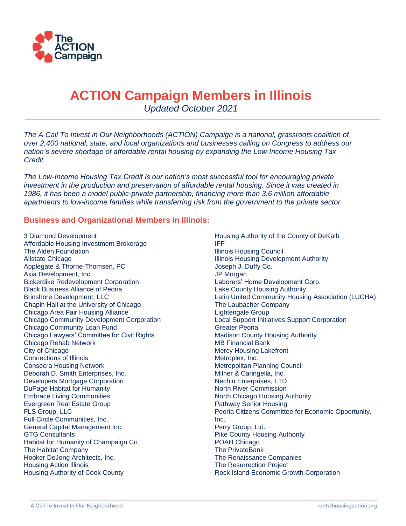

## **ACTION Campaign Members in Illinois**

*Updated October 2021*

*The A Call To Invest in Our Neighborhoods (ACTION) Campaign is a national, grassroots coalition of over 2,400 national, state, and local organizations and businesses calling on Congress to address our nation's severe shortage of affordable rental housing by expanding the Low-Income Housing Tax Credit.* 

*The Low-Income Housing Tax Credit is our nation's most successful tool for encouraging private investment in the production and preservation of affordable rental housing. Since it was created in 1986, it has been a model public-private partnership, financing more than 3.6 million affordable apartments to low-income families while transferring risk from the government to the private sector.*

## **Business and Organizational Members in Illinois:**

3 Diamond Development Affordable Housing Investment Brokerage The Alden Foundation Allstate Chicago Applegate & Thorne-Thomsen, PC Axia Development, Inc. Bickerdike Redevelopment Corporation Black Business Alliance of Peoria Brinshore Development, LLC Chapin Hall at the University of Chicago Chicago Area Fair Housing Alliance Chicago Community Development Corporation Chicago Community Loan Fund Chicago Lawyers' Committee for Civil Rights Chicago Rehab Network City of Chicago Connections of Illinois Consecra Housing Network Deborah D. Smith Enterprises, Inc. Developers Mortgage Corporation DuPage Habitat for Humanity Embrace Living Communities Evergreen Real Estate Group FLS Group, LLC Full Circle Communities, Inc. General Capital Management Inc. GTG Consultants Habitat for Humanity of Champaign Co. The Habitat Company Hooker DeJong Architects, Inc. Housing Action Illinois Housing Authority of Cook County

Housing Authority of the County of DeKalb IFF Illinois Housing Council Illinois Housing Development Authority Joseph J. Duffy Co. JP Morgan Laborers' Home Development Corp. Lake County Housing Authority Latin United Community Housing Association (LUCHA) The Laubacher Company Lightengale Group Local Support Initiatives Support Corporation Greater Peoria Madison County Housing Authority MB Financial Bank Mercy Housing Lakefront Metroplex, Inc. Metropolitan Planning Council Milner & Caringella, Inc. Nechin Enterprises, LTD North River Commission North Chicago Housing Authority Pathway Senior Housing Peoria Citizens Committee for Economic Opportunity, Inc. Perry Group, Ltd. Pike County Housing Authority POAH Chicago The PrivateBank The Renaissance Companies The Resurrection Project Rock Island Economic Growth Corporation